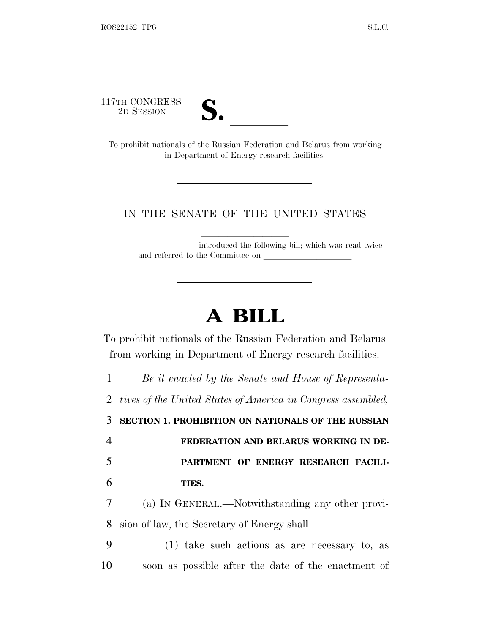117TH CONGRESS<br>2D SESSION



TH CONGRESS<br>
2D SESSION<br>
To prohibit nationals of the Russian Federation and Belarus from working in Department of Energy research facilities.

## IN THE SENATE OF THE UNITED STATES

introduced the following bill; which was read twice and referred to the Committee on

## **A BILL**

To prohibit nationals of the Russian Federation and Belarus from working in Department of Energy research facilities.

 *Be it enacted by the Senate and House of Representa- tives of the United States of America in Congress assembled,* **SECTION 1. PROHIBITION ON NATIONALS OF THE RUSSIAN FEDERATION AND BELARUS WORKING IN DE- PARTMENT OF ENERGY RESEARCH FACILI-**6 **TIES.** (a) I<sup>N</sup> GENERAL.—Notwithstanding any other provi-sion of law, the Secretary of Energy shall—

9 (1) take such actions as are necessary to, as 10 soon as possible after the date of the enactment of